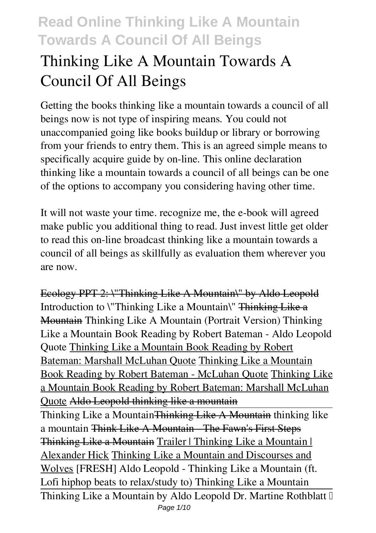# **Thinking Like A Mountain Towards A Council Of All Beings**

Getting the books **thinking like a mountain towards a council of all beings** now is not type of inspiring means. You could not unaccompanied going like books buildup or library or borrowing from your friends to entry them. This is an agreed simple means to specifically acquire guide by on-line. This online declaration thinking like a mountain towards a council of all beings can be one of the options to accompany you considering having other time.

It will not waste your time. recognize me, the e-book will agreed make public you additional thing to read. Just invest little get older to read this on-line broadcast **thinking like a mountain towards a council of all beings** as skillfully as evaluation them wherever you are now.

Ecology PPT 2: \"Thinking Like A Mountain\" by Aldo Leopold *Introduction to \"Thinking Like a Mountain\"* Thinking Like a Mountain Thinking Like A Mountain (Portrait Version) **Thinking Like a Mountain Book Reading by Robert Bateman - Aldo Leopold Quote** Thinking Like a Mountain Book Reading by Robert Bateman: Marshall McLuhan Quote Thinking Like a Mountain Book Reading by Robert Bateman - McLuhan Quote Thinking Like a Mountain Book Reading by Robert Bateman: Marshall McLuhan Quote Aldo Leopold thinking like a mountain Thinking Like a MountainThinking Like A Mountain *thinking like a mountain* Think Like A Mountain - The Fawn's First Steps Thinking Like a Mountain Trailer | Thinking Like a Mountain |

Alexander Hick Thinking Like a Mountain and Discourses and Wolves **[FRESH] Aldo Leopold - Thinking Like a Mountain (ft. Lofi hiphop beats to relax/study to)** *Thinking Like a Mountain* Thinking Like a Mountain by Aldo Leopold Dr. Martine Rothblatt  $\mathbb I$ Page 1/10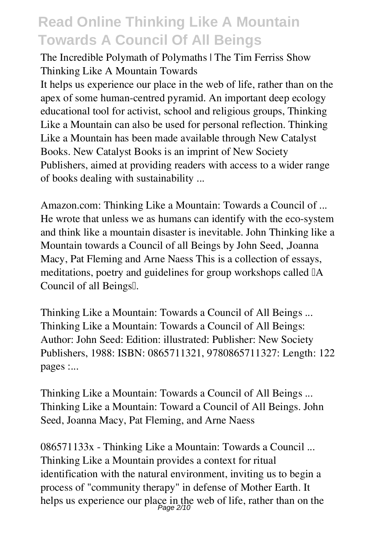The Incredible Polymath of Polymaths | The Tim Ferriss Show *Thinking Like A Mountain Towards*

It helps us experience our place in the web of life, rather than on the apex of some human-centred pyramid. An important deep ecology educational tool for activist, school and religious groups, Thinking Like a Mountain can also be used for personal reflection. Thinking Like a Mountain has been made available through New Catalyst Books. New Catalyst Books is an imprint of New Society Publishers, aimed at providing readers with access to a wider range of books dealing with sustainability ...

*Amazon.com: Thinking Like a Mountain: Towards a Council of ...* He wrote that unless we as humans can identify with the eco-system and think like a mountain disaster is inevitable. John Thinking like a Mountain towards a Council of all Beings by John Seed, ,Joanna Macy, Pat Fleming and Arne Naess This is a collection of essays, meditations, poetry and guidelines for group workshops called  $\mathbb{I}$ A Council of all Beings.

*Thinking Like a Mountain: Towards a Council of All Beings ...* Thinking Like a Mountain: Towards a Council of All Beings: Author: John Seed: Edition: illustrated: Publisher: New Society Publishers, 1988: ISBN: 0865711321, 9780865711327: Length: 122 pages :...

*Thinking Like a Mountain: Towards a Council of All Beings ...* Thinking Like a Mountain: Toward a Council of All Beings. John Seed, Joanna Macy, Pat Fleming, and Arne Naess

*086571133x - Thinking Like a Mountain: Towards a Council ...* Thinking Like a Mountain provides a context for ritual identification with the natural environment, inviting us to begin a process of "community therapy" in defense of Mother Earth. It helps us experience our place in the web of life, rather than on the  $P_{\text{age 2/10}}$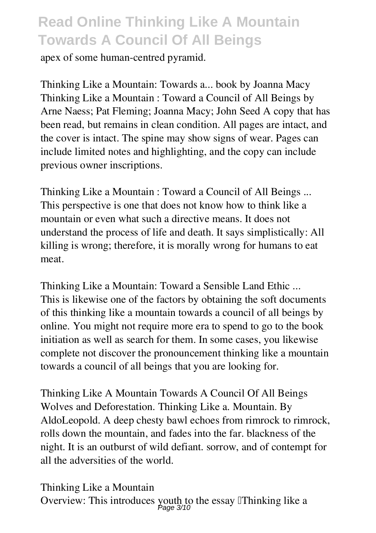apex of some human-centred pyramid.

*Thinking Like a Mountain: Towards a... book by Joanna Macy* Thinking Like a Mountain : Toward a Council of All Beings by Arne Naess; Pat Fleming; Joanna Macy; John Seed A copy that has been read, but remains in clean condition. All pages are intact, and the cover is intact. The spine may show signs of wear. Pages can include limited notes and highlighting, and the copy can include previous owner inscriptions.

*Thinking Like a Mountain : Toward a Council of All Beings ...* This perspective is one that does not know how to think like a mountain or even what such a directive means. It does not understand the process of life and death. It says simplistically: All killing is wrong; therefore, it is morally wrong for humans to eat meat.

*Thinking Like a Mountain: Toward a Sensible Land Ethic ...* This is likewise one of the factors by obtaining the soft documents of this thinking like a mountain towards a council of all beings by online. You might not require more era to spend to go to the book initiation as well as search for them. In some cases, you likewise complete not discover the pronouncement thinking like a mountain towards a council of all beings that you are looking for.

*Thinking Like A Mountain Towards A Council Of All Beings* Wolves and Deforestation. Thinking Like a. Mountain. By AldoLeopold. A deep chesty bawl echoes from rimrock to rimrock, rolls down the mountain, and fades into the far. blackness of the night. It is an outburst of wild defiant. sorrow, and of contempt for all the adversities of the world.

*Thinking Like a Mountain* Overview: This introduces youth to the essay let thinking like a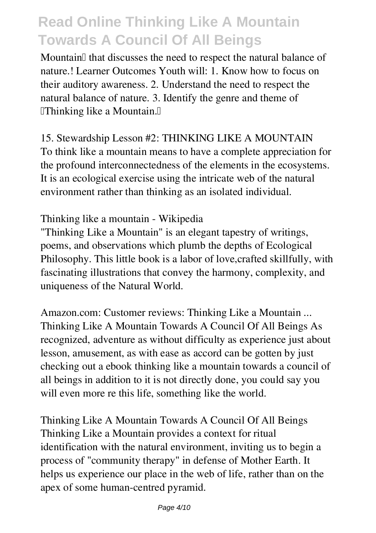Mountain<sup>[]</sup> that discusses the need to respect the natural balance of nature.! Learner Outcomes Youth will: 1. Know how to focus on their auditory awareness. 2. Understand the need to respect the natural balance of nature. 3. Identify the genre and theme of  $\mathbb{I}$ Thinking like a Mountain. $\mathbb{I}$ 

*15. Stewardship Lesson #2: THINKING LIKE A MOUNTAIN* To think like a mountain means to have a complete appreciation for the profound interconnectedness of the elements in the ecosystems. It is an ecological exercise using the intricate web of the natural environment rather than thinking as an isolated individual.

#### *Thinking like a mountain - Wikipedia*

"Thinking Like a Mountain" is an elegant tapestry of writings, poems, and observations which plumb the depths of Ecological Philosophy. This little book is a labor of love, crafted skillfully, with fascinating illustrations that convey the harmony, complexity, and uniqueness of the Natural World.

*Amazon.com: Customer reviews: Thinking Like a Mountain ...* Thinking Like A Mountain Towards A Council Of All Beings As recognized, adventure as without difficulty as experience just about lesson, amusement, as with ease as accord can be gotten by just checking out a ebook thinking like a mountain towards a council of all beings in addition to it is not directly done, you could say you will even more re this life, something like the world.

*Thinking Like A Mountain Towards A Council Of All Beings* Thinking Like a Mountain provides a context for ritual identification with the natural environment, inviting us to begin a process of "community therapy" in defense of Mother Earth. It helps us experience our place in the web of life, rather than on the apex of some human-centred pyramid.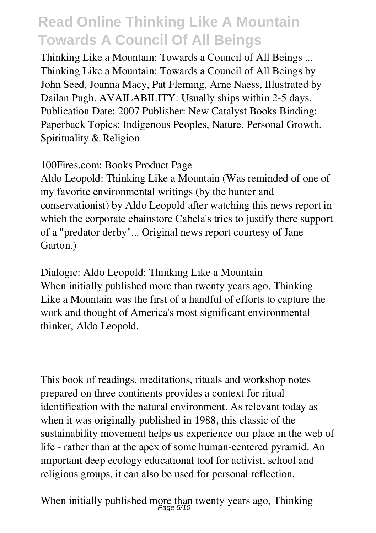*Thinking Like a Mountain: Towards a Council of All Beings ...* Thinking Like a Mountain: Towards a Council of All Beings by John Seed, Joanna Macy, Pat Fleming, Arne Naess, Illustrated by Dailan Pugh. AVAILABILITY: Usually ships within 2-5 days. Publication Date: 2007 Publisher: New Catalyst Books Binding: Paperback Topics: Indigenous Peoples, Nature, Personal Growth, Spirituality & Religion

*100Fires.com: Books Product Page*

Aldo Leopold: Thinking Like a Mountain (Was reminded of one of my favorite environmental writings (by the hunter and conservationist) by Aldo Leopold after watching this news report in which the corporate chainstore Cabela's tries to justify there support of a "predator derby"... Original news report courtesy of Jane Garton.)

*Dialogic: Aldo Leopold: Thinking Like a Mountain* When initially published more than twenty years ago, Thinking Like a Mountain was the first of a handful of efforts to capture the work and thought of America's most significant environmental thinker, Aldo Leopold.

This book of readings, meditations, rituals and workshop notes prepared on three continents provides a context for ritual identification with the natural environment. As relevant today as when it was originally published in 1988, this classic of the sustainability movement helps us experience our place in the web of life - rather than at the apex of some human-centered pyramid. An important deep ecology educational tool for activist, school and religious groups, it can also be used for personal reflection.

When initially published more than twenty years ago, Thinking<br> $P_{\text{age 5/10}}$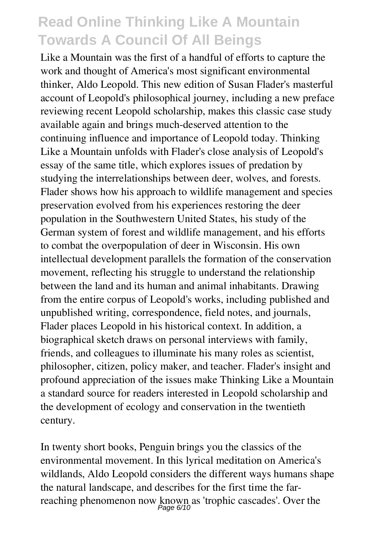Like a Mountain was the first of a handful of efforts to capture the work and thought of America's most significant environmental thinker, Aldo Leopold. This new edition of Susan Flader's masterful account of Leopold's philosophical journey, including a new preface reviewing recent Leopold scholarship, makes this classic case study available again and brings much-deserved attention to the continuing influence and importance of Leopold today. Thinking Like a Mountain unfolds with Flader's close analysis of Leopold's essay of the same title, which explores issues of predation by studying the interrelationships between deer, wolves, and forests. Flader shows how his approach to wildlife management and species preservation evolved from his experiences restoring the deer population in the Southwestern United States, his study of the German system of forest and wildlife management, and his efforts to combat the overpopulation of deer in Wisconsin. His own intellectual development parallels the formation of the conservation movement, reflecting his struggle to understand the relationship between the land and its human and animal inhabitants. Drawing from the entire corpus of Leopold's works, including published and unpublished writing, correspondence, field notes, and journals, Flader places Leopold in his historical context. In addition, a biographical sketch draws on personal interviews with family, friends, and colleagues to illuminate his many roles as scientist, philosopher, citizen, policy maker, and teacher. Flader's insight and profound appreciation of the issues make Thinking Like a Mountain a standard source for readers interested in Leopold scholarship and the development of ecology and conservation in the twentieth century.

In twenty short books, Penguin brings you the classics of the environmental movement. In this lyrical meditation on America's wildlands, Aldo Leopold considers the different ways humans shape the natural landscape, and describes for the first time the farreaching phenomenon now known as 'trophic cascades'. Over the<br><sup>Page 6/10</sup>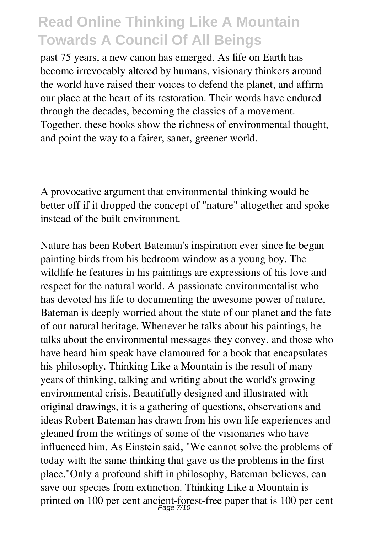past 75 years, a new canon has emerged. As life on Earth has become irrevocably altered by humans, visionary thinkers around the world have raised their voices to defend the planet, and affirm our place at the heart of its restoration. Their words have endured through the decades, becoming the classics of a movement. Together, these books show the richness of environmental thought, and point the way to a fairer, saner, greener world.

A provocative argument that environmental thinking would be better off if it dropped the concept of "nature" altogether and spoke instead of the built environment.

Nature has been Robert Bateman's inspiration ever since he began painting birds from his bedroom window as a young boy. The wildlife he features in his paintings are expressions of his love and respect for the natural world. A passionate environmentalist who has devoted his life to documenting the awesome power of nature, Bateman is deeply worried about the state of our planet and the fate of our natural heritage. Whenever he talks about his paintings, he talks about the environmental messages they convey, and those who have heard him speak have clamoured for a book that encapsulates his philosophy. Thinking Like a Mountain is the result of many years of thinking, talking and writing about the world's growing environmental crisis. Beautifully designed and illustrated with original drawings, it is a gathering of questions, observations and ideas Robert Bateman has drawn from his own life experiences and gleaned from the writings of some of the visionaries who have influenced him. As Einstein said, "We cannot solve the problems of today with the same thinking that gave us the problems in the first place."Only a profound shift in philosophy, Bateman believes, can save our species from extinction. Thinking Like a Mountain is printed on 100 per cent ancient-forest-free paper that is 100 per cent<br>  $P_{\text{age}}$  7/10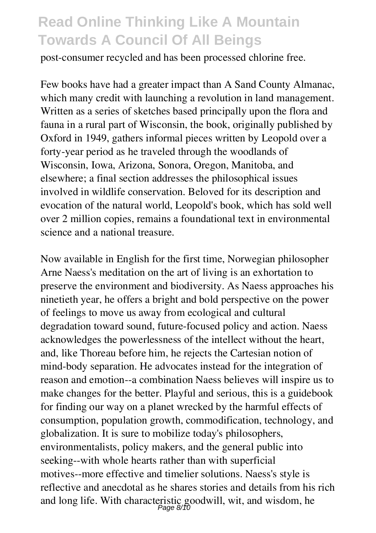post-consumer recycled and has been processed chlorine free.

Few books have had a greater impact than A Sand County Almanac, which many credit with launching a revolution in land management. Written as a series of sketches based principally upon the flora and fauna in a rural part of Wisconsin, the book, originally published by Oxford in 1949, gathers informal pieces written by Leopold over a forty-year period as he traveled through the woodlands of Wisconsin, Iowa, Arizona, Sonora, Oregon, Manitoba, and elsewhere; a final section addresses the philosophical issues involved in wildlife conservation. Beloved for its description and evocation of the natural world, Leopold's book, which has sold well over 2 million copies, remains a foundational text in environmental science and a national treasure.

Now available in English for the first time, Norwegian philosopher Arne Naess's meditation on the art of living is an exhortation to preserve the environment and biodiversity. As Naess approaches his ninetieth year, he offers a bright and bold perspective on the power of feelings to move us away from ecological and cultural degradation toward sound, future-focused policy and action. Naess acknowledges the powerlessness of the intellect without the heart, and, like Thoreau before him, he rejects the Cartesian notion of mind-body separation. He advocates instead for the integration of reason and emotion--a combination Naess believes will inspire us to make changes for the better. Playful and serious, this is a guidebook for finding our way on a planet wrecked by the harmful effects of consumption, population growth, commodification, technology, and globalization. It is sure to mobilize today's philosophers, environmentalists, policy makers, and the general public into seeking--with whole hearts rather than with superficial motives--more effective and timelier solutions. Naess's style is reflective and anecdotal as he shares stories and details from his rich and long life. With characteristic goodwill, wit, and wisdom, he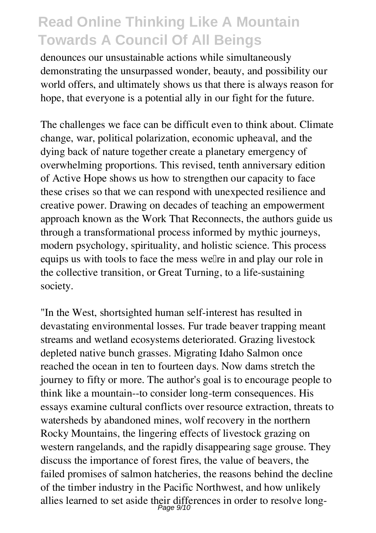denounces our unsustainable actions while simultaneously demonstrating the unsurpassed wonder, beauty, and possibility our world offers, and ultimately shows us that there is always reason for hope, that everyone is a potential ally in our fight for the future.

The challenges we face can be difficult even to think about. Climate change, war, political polarization, economic upheaval, and the dying back of nature together create a planetary emergency of overwhelming proportions. This revised, tenth anniversary edition of Active Hope shows us how to strengthen our capacity to face these crises so that we can respond with unexpected resilience and creative power. Drawing on decades of teaching an empowerment approach known as the Work That Reconnects, the authors guide us through a transformational process informed by mythic journeys, modern psychology, spirituality, and holistic science. This process equips us with tools to face the mess well re in and play our role in the collective transition, or Great Turning, to a life-sustaining society.

"In the West, shortsighted human self-interest has resulted in devastating environmental losses. Fur trade beaver trapping meant streams and wetland ecosystems deteriorated. Grazing livestock depleted native bunch grasses. Migrating Idaho Salmon once reached the ocean in ten to fourteen days. Now dams stretch the journey to fifty or more. The author's goal is to encourage people to think like a mountain--to consider long-term consequences. His essays examine cultural conflicts over resource extraction, threats to watersheds by abandoned mines, wolf recovery in the northern Rocky Mountains, the lingering effects of livestock grazing on western rangelands, and the rapidly disappearing sage grouse. They discuss the importance of forest fires, the value of beavers, the failed promises of salmon hatcheries, the reasons behind the decline of the timber industry in the Pacific Northwest, and how unlikely allies learned to set aside their differences in order to resolve long-Page 9/10